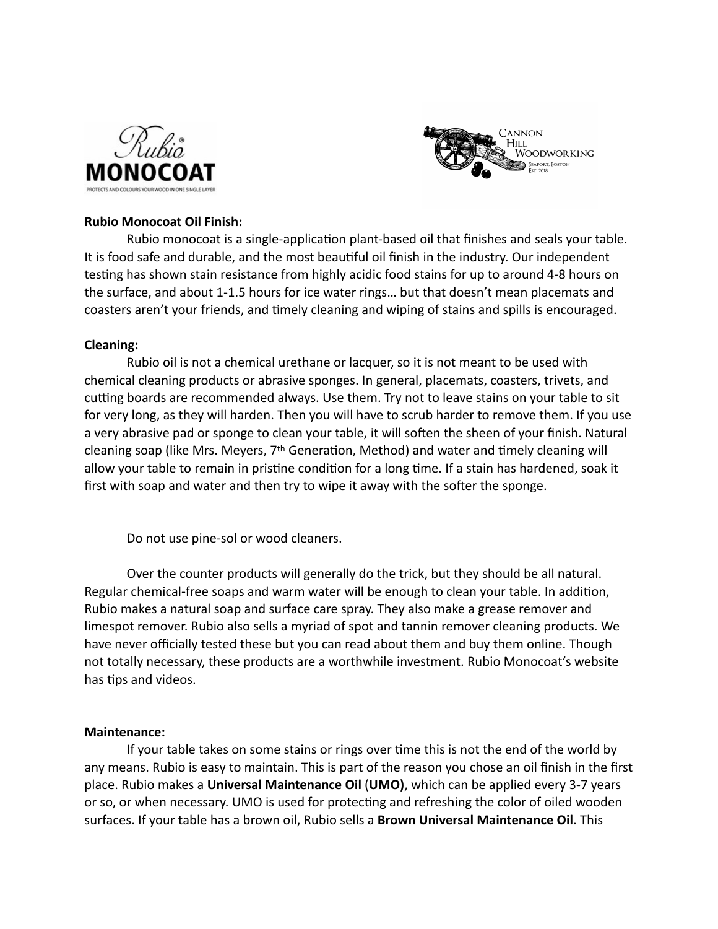



## **Rubio Monocoat Oil Finish:**

Rubio monocoat is a single-application plant-based oil that finishes and seals your table. It is food safe and durable, and the most beautiful oil finish in the industry. Our independent testing has shown stain resistance from highly acidic food stains for up to around 4-8 hours on the surface, and about 1-1.5 hours for ice water rings… but that doesn't mean placemats and coasters aren't your friends, and timely cleaning and wiping of stains and spills is encouraged.

## **Cleaning:**

Rubio oil is not a chemical urethane or lacquer, so it is not meant to be used with chemical cleaning products or abrasive sponges. In general, placemats, coasters, trivets, and cutting boards are recommended always. Use them. Try not to leave stains on your table to sit for very long, as they will harden. Then you will have to scrub harder to remove them. If you use a very abrasive pad or sponge to clean your table, it will soften the sheen of your finish. Natural cleaning soap (like Mrs. Meyers, 7th Generation, Method) and water and timely cleaning will allow your table to remain in pristine condition for a long time. If a stain has hardened, soak it first with soap and water and then try to wipe it away with the softer the sponge.

Do not use pine-sol or wood cleaners.

Over the counter products will generally do the trick, but they should be all natural. Regular chemical-free soaps and warm water will be enough to clean your table. In addition, Rubio makes a natural soap and surface care spray. They also make a grease remover and limespot remover. Rubio also sells a myriad of spot and tannin remover cleaning products. We have never officially tested these but you can read about them and buy them online. Though not totally necessary, these products are a worthwhile investment. Rubio Monocoat's website has tips and videos.

## **Maintenance:**

If your table takes on some stains or rings over time this is not the end of the world by any means. Rubio is easy to maintain. This is part of the reason you chose an oil finish in the first place. Rubio makes a **Universal Maintenance Oil** (**UMO)**, which can be applied every 3-7 years or so, or when necessary. UMO is used for protecting and refreshing the color of oiled wooden surfaces. If your table has a brown oil, Rubio sells a **Brown Universal Maintenance Oil**. This